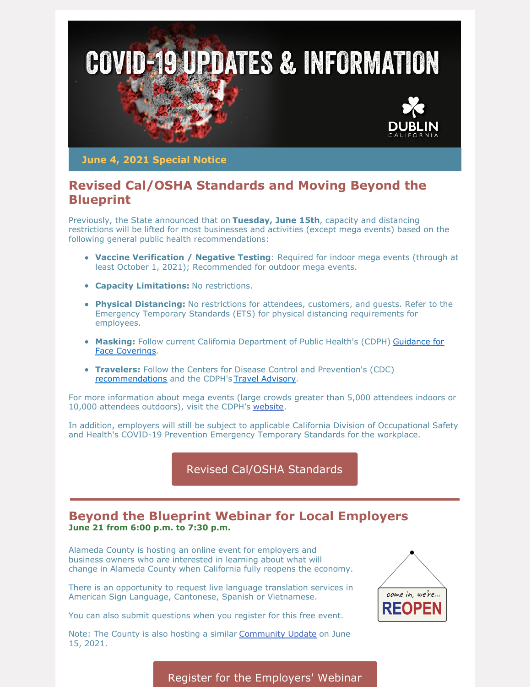

**June 4, 2021 Special Notice**

## **Revised Cal/OSHA Standards and Moving Beyond the Blueprint**

Previously, the State announced that on **Tuesday, June 15th**, capacity and distancing restrictions will be lifted for most businesses and activities (except mega events) based on the following general public health recommendations:

- **Vaccine Verification / Negative Testing**: Required for indoor mega events (through at least October 1, 2021); Recommended for outdoor mega events.
- **Capacity Limitations:** No restrictions.
- **Physical Distancing:** No restrictions for attendees, customers, and guests. Refer to the Emergency Temporary Standards (ETS) for physical distancing requirements for employees.
- **Masking:** Follow current California [Department](https://www.cdph.ca.gov/Programs/CID/DCDC/Pages/COVID-19/guidance-for-face-coverings.aspx) of Public Health's (CDPH) Guidance for Face Coverings.
- **Travelers:** Follow the Centers for Disease Control and Prevention's (CDC) [recommendations](https://www.cdc.gov/coronavirus/2019-ncov/travelers/index.html) and the CDPH's Travel [Advisory](https://www.cdph.ca.gov/Programs/CID/DCDC/Pages/COVID-19/Travel-Advisory.aspx).

For more information about mega events (large crowds greater than 5,000 attendees indoors or 10,000 attendees outdoors), visit the CDPH's [website](https://www.cdph.ca.gov/Programs/CID/DCDC/Pages/COVID-19/Beyond-Blueprint-Framework.aspx).

In addition, employers will still be subject to applicable California Division of Occupational Safety and Health's COVID-19 Prevention Emergency Temporary Standards for the workplace.

Revised Cal/OSHA [Standards](https://www.dir.ca.gov/DIRNews/2021/2021-58.html)

## **Beyond the Blueprint Webinar for Local Employers June 21 from 6:00 p.m. to 7:30 p.m.**

Alameda County is hosting an online event for employers and business owners who are interested in learning about what will change in Alameda County when California fully reopens the economy.

There is an opportunity to request live language translation services in American Sign Language, Cantonese, Spanish or Vietnamese.

You can also submit questions when you register for this free event.

Note: The County is also hosting a similar [Community](https://lnks.gd/l/eyJhbGciOiJIUzI1NiJ9.eyJidWxsZXRpbl9saW5rX2lkIjoxMDIsInVyaSI6ImJwMjpjbGljayIsImJ1bGxldGluX2lkIjoiMjAyMTA2MDMuNDE0Njg0NjEiLCJ1cmwiOiJodHRwczovL2V2ZW50cy5yMjAuY29uc3RhbnRjb250YWN0LmNvbS9yZWdpc3Rlci9ldmVudFJlZz9vZWlkaz1hMDdlaTF0NGV3MTkxMjc4MWZlJm9zZXE9JmM9JmNoPSUyNyJ9.NkgRwhaCU0sjJJ1zmT4vHzcTdjm-4vsXSM4DX2qvUpU/s/978040387/br/107443257636-l) Update on June 15, 2021.



Register for the [Employers'](https://events.r20.constantcontact.com/register/eventReg?oeidk=a07ei1i3wgtfb6ea37a&oseq=&c=&ch=) Webinar